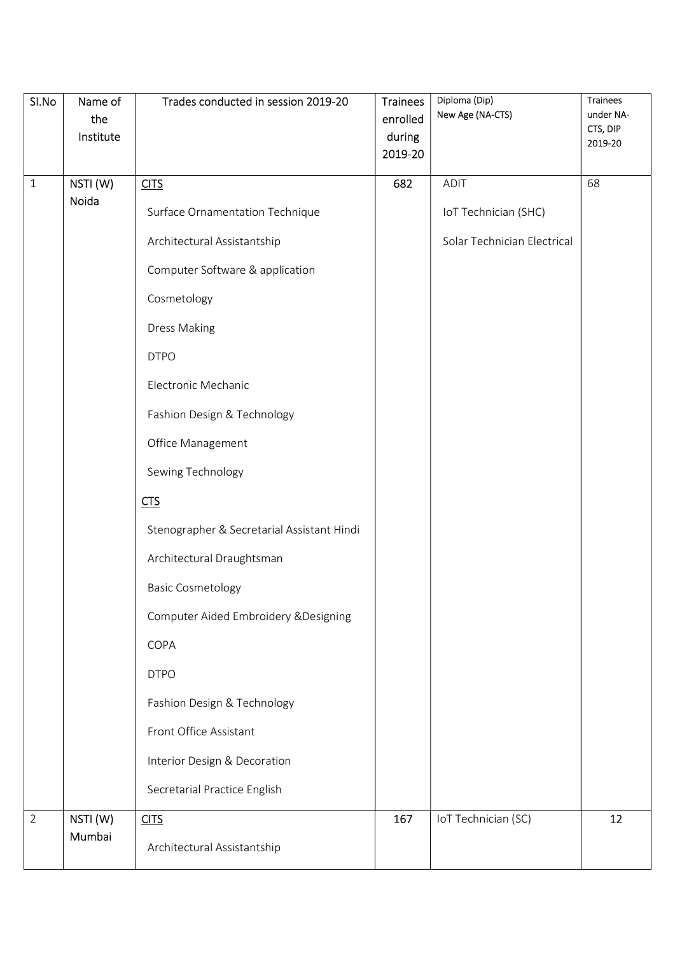| SI.No          | Name of<br>the<br>Institute | Trades conducted in session 2019-20        | <b>Trainees</b><br>enrolled<br>during<br>2019-20 | Diploma (Dip)<br>New Age (NA-CTS) | <b>Trainees</b><br>under NA-<br>CTS, DIP<br>2019-20 |
|----------------|-----------------------------|--------------------------------------------|--------------------------------------------------|-----------------------------------|-----------------------------------------------------|
| $\mathbf{1}$   | NSTI(W)                     | <b>CITS</b>                                | 682                                              | ADIT                              | 68                                                  |
|                | Noida                       | Surface Ornamentation Technique            |                                                  | IoT Technician (SHC)              |                                                     |
|                |                             | Architectural Assistantship                |                                                  | Solar Technician Electrical       |                                                     |
|                |                             | Computer Software & application            |                                                  |                                   |                                                     |
|                |                             | Cosmetology                                |                                                  |                                   |                                                     |
|                |                             | <b>Dress Making</b>                        |                                                  |                                   |                                                     |
|                |                             | <b>DTPO</b>                                |                                                  |                                   |                                                     |
|                |                             | Electronic Mechanic                        |                                                  |                                   |                                                     |
|                |                             | Fashion Design & Technology                |                                                  |                                   |                                                     |
|                |                             | Office Management                          |                                                  |                                   |                                                     |
|                |                             | Sewing Technology                          |                                                  |                                   |                                                     |
|                |                             | CTS                                        |                                                  |                                   |                                                     |
|                |                             | Stenographer & Secretarial Assistant Hindi |                                                  |                                   |                                                     |
|                |                             | Architectural Draughtsman                  |                                                  |                                   |                                                     |
|                |                             | <b>Basic Cosmetology</b>                   |                                                  |                                   |                                                     |
|                |                             | Computer Aided Embroidery & Designing      |                                                  |                                   |                                                     |
|                |                             | COPA                                       |                                                  |                                   |                                                     |
|                |                             | <b>DTPO</b>                                |                                                  |                                   |                                                     |
|                |                             | Fashion Design & Technology                |                                                  |                                   |                                                     |
|                |                             | Front Office Assistant                     |                                                  |                                   |                                                     |
|                |                             | Interior Design & Decoration               |                                                  |                                   |                                                     |
|                |                             | Secretarial Practice English               |                                                  |                                   |                                                     |
| $\overline{2}$ | NSTI(W)                     | <b>CITS</b>                                | 167                                              | IoT Technician (SC)               | 12                                                  |
|                | Mumbai                      | Architectural Assistantship                |                                                  |                                   |                                                     |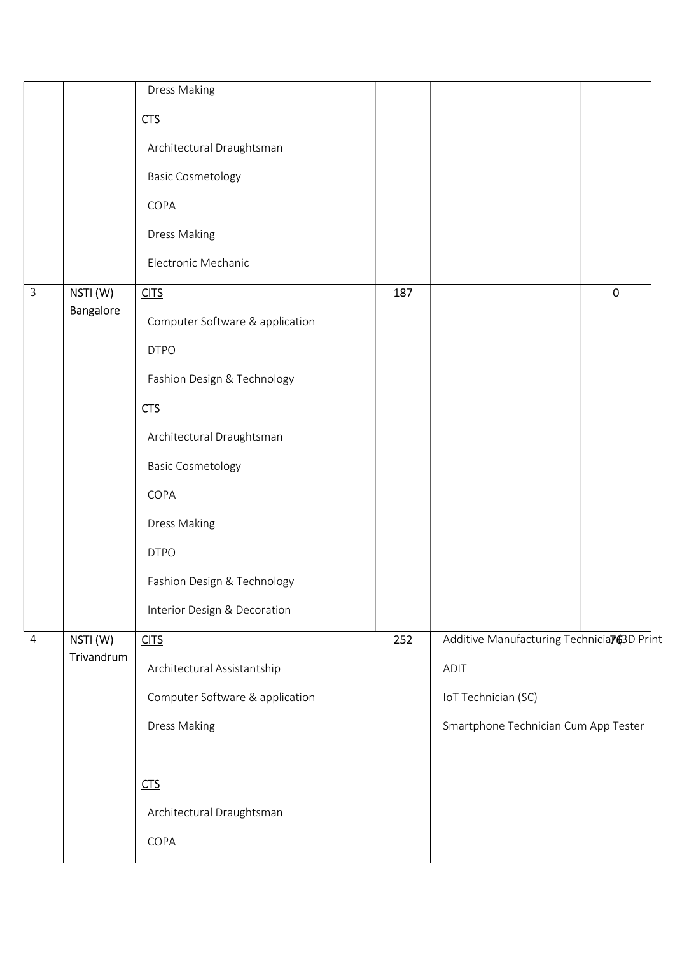|                |                        | Dress Making                    |     |                                            |
|----------------|------------------------|---------------------------------|-----|--------------------------------------------|
|                |                        | CTS                             |     |                                            |
|                |                        | Architectural Draughtsman       |     |                                            |
|                |                        | <b>Basic Cosmetology</b>        |     |                                            |
|                |                        | COPA                            |     |                                            |
|                |                        | Dress Making                    |     |                                            |
|                |                        | Electronic Mechanic             |     |                                            |
| $\mathbf{3}$   | NSTI(W)                | <b>CITS</b>                     | 187 | $\pmb{0}$                                  |
|                | Bangalore              | Computer Software & application |     |                                            |
|                |                        | <b>DTPO</b>                     |     |                                            |
|                |                        | Fashion Design & Technology     |     |                                            |
|                |                        | CTS                             |     |                                            |
|                |                        | Architectural Draughtsman       |     |                                            |
|                |                        | <b>Basic Cosmetology</b>        |     |                                            |
|                |                        | COPA                            |     |                                            |
|                |                        | <b>Dress Making</b>             |     |                                            |
|                |                        | <b>DTPO</b>                     |     |                                            |
|                |                        | Fashion Design & Technology     |     |                                            |
|                |                        | Interior Design & Decoration    |     |                                            |
| $\overline{4}$ | NSTI (W)<br>Trivandrum | CITS                            | 252 | Additive Manufacturing Technicia763D Print |
|                |                        | Architectural Assistantship     |     | <b>ADIT</b>                                |
|                |                        | Computer Software & application |     | IoT Technician (SC)                        |
|                |                        | Dress Making                    |     | Smartphone Technician Cum App Tester       |
|                |                        |                                 |     |                                            |
|                |                        | CTS                             |     |                                            |
|                |                        | Architectural Draughtsman       |     |                                            |
|                |                        | COPA                            |     |                                            |
|                |                        |                                 |     |                                            |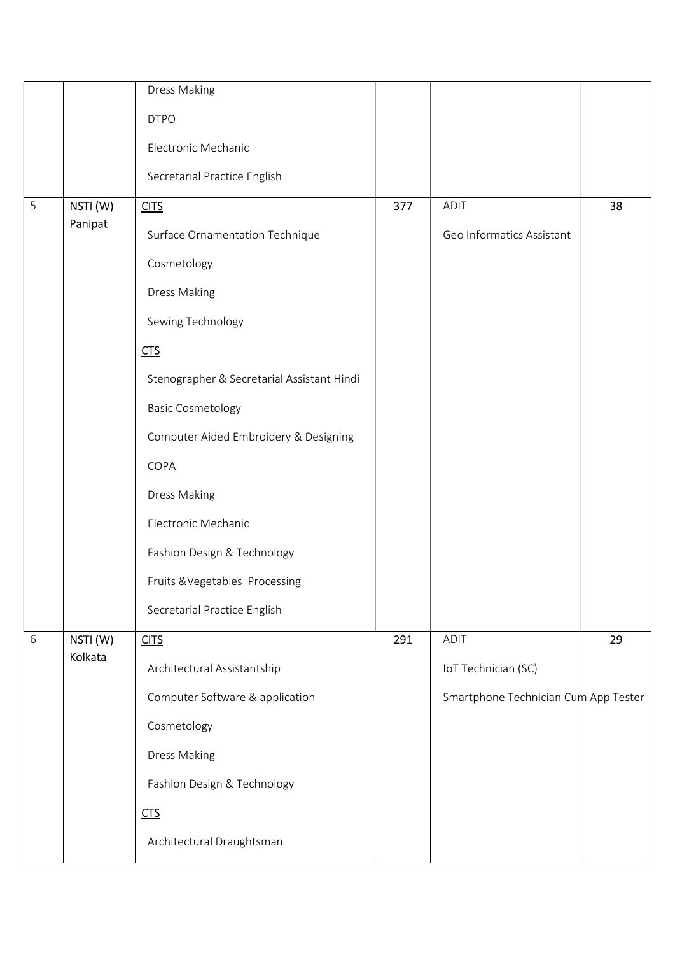|   |         | <b>Dress Making</b>                        |     |                                      |    |
|---|---------|--------------------------------------------|-----|--------------------------------------|----|
|   |         | <b>DTPO</b>                                |     |                                      |    |
|   |         | Electronic Mechanic                        |     |                                      |    |
|   |         | Secretarial Practice English               |     |                                      |    |
| 5 | NSTI(W) | CITS                                       | 377 | <b>ADIT</b>                          | 38 |
|   | Panipat | Surface Ornamentation Technique            |     | Geo Informatics Assistant            |    |
|   |         | Cosmetology                                |     |                                      |    |
|   |         | <b>Dress Making</b>                        |     |                                      |    |
|   |         | Sewing Technology                          |     |                                      |    |
|   |         | CTS                                        |     |                                      |    |
|   |         | Stenographer & Secretarial Assistant Hindi |     |                                      |    |
|   |         | <b>Basic Cosmetology</b>                   |     |                                      |    |
|   |         | Computer Aided Embroidery & Designing      |     |                                      |    |
|   |         | COPA                                       |     |                                      |    |
|   |         | <b>Dress Making</b>                        |     |                                      |    |
|   |         | Electronic Mechanic                        |     |                                      |    |
|   |         | Fashion Design & Technology                |     |                                      |    |
|   |         | Fruits & Vegetables Processing             |     |                                      |    |
|   |         | Secretarial Practice English               |     |                                      |    |
| 6 | NSTI(W) | CITS                                       | 291 | <b>ADIT</b>                          | 29 |
|   | Kolkata | Architectural Assistantship                |     | IoT Technician (SC)                  |    |
|   |         | Computer Software & application            |     | Smartphone Technician Cum App Tester |    |
|   |         | Cosmetology                                |     |                                      |    |
|   |         | <b>Dress Making</b>                        |     |                                      |    |
|   |         | Fashion Design & Technology                |     |                                      |    |
|   |         | CTS                                        |     |                                      |    |
|   |         | Architectural Draughtsman                  |     |                                      |    |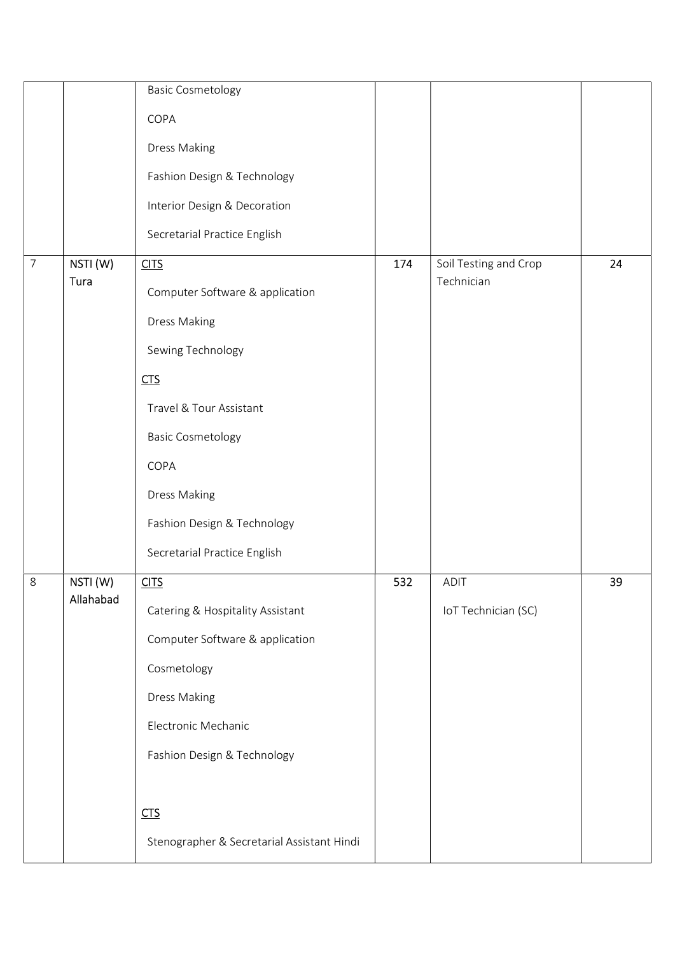|                |           | <b>Basic Cosmetology</b>                   |     |                       |    |
|----------------|-----------|--------------------------------------------|-----|-----------------------|----|
|                |           | COPA                                       |     |                       |    |
|                |           | <b>Dress Making</b>                        |     |                       |    |
|                |           | Fashion Design & Technology                |     |                       |    |
|                |           | Interior Design & Decoration               |     |                       |    |
|                |           | Secretarial Practice English               |     |                       |    |
| $\overline{7}$ | NSTI(W)   | <b>CITS</b>                                | 174 | Soil Testing and Crop | 24 |
|                | Tura      | Computer Software & application            |     | Technician            |    |
|                |           | <b>Dress Making</b>                        |     |                       |    |
|                |           | Sewing Technology                          |     |                       |    |
|                |           | CTS                                        |     |                       |    |
|                |           | Travel & Tour Assistant                    |     |                       |    |
|                |           | <b>Basic Cosmetology</b>                   |     |                       |    |
|                |           | COPA                                       |     |                       |    |
|                |           | <b>Dress Making</b>                        |     |                       |    |
|                |           | Fashion Design & Technology                |     |                       |    |
|                |           | Secretarial Practice English               |     |                       |    |
| 8              | NSTI (W)  | <b>CITS</b>                                | 532 | ADIT                  | 39 |
|                | Allahabad | Catering & Hospitality Assistant           |     | IoT Technician (SC)   |    |
|                |           | Computer Software & application            |     |                       |    |
|                |           | Cosmetology                                |     |                       |    |
|                |           | <b>Dress Making</b>                        |     |                       |    |
|                |           | Electronic Mechanic                        |     |                       |    |
|                |           | Fashion Design & Technology                |     |                       |    |
|                |           |                                            |     |                       |    |
|                |           | CTS                                        |     |                       |    |
|                |           | Stenographer & Secretarial Assistant Hindi |     |                       |    |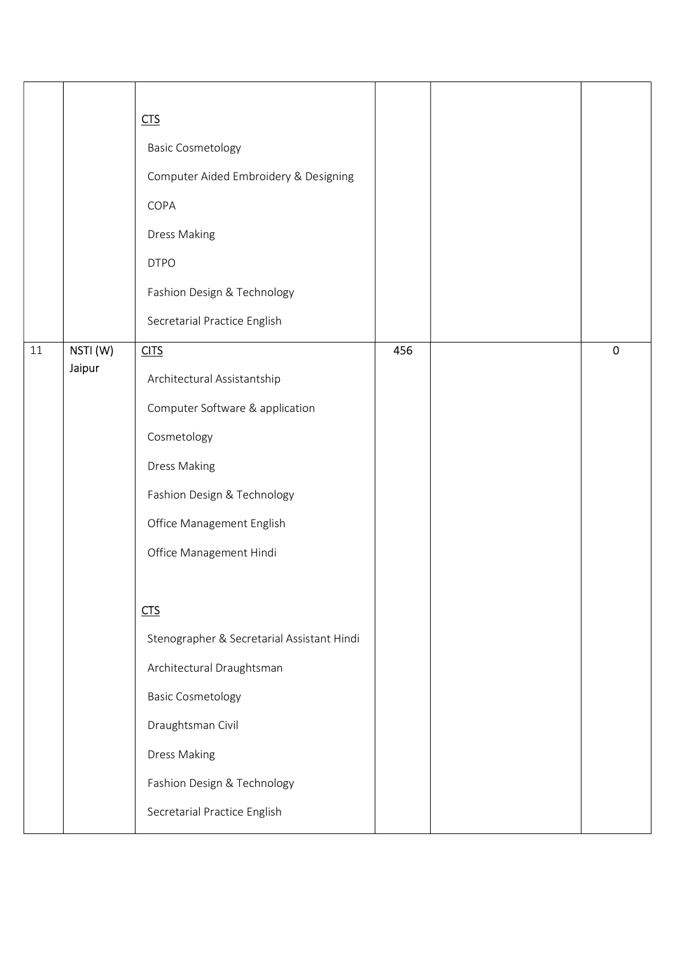|    |                   | CTS<br><b>Basic Cosmetology</b><br>Computer Aided Embroidery & Designing<br>COPA<br><b>Dress Making</b><br><b>DTPO</b><br>Fashion Design & Technology<br>Secretarial Practice English                          |     |             |
|----|-------------------|----------------------------------------------------------------------------------------------------------------------------------------------------------------------------------------------------------------|-----|-------------|
| 11 | NSTI(W)<br>Jaipur | CITS<br>Architectural Assistantship<br>Computer Software & application<br>Cosmetology<br>Dress Making<br>Fashion Design & Technology<br>Office Management English<br>Office Management Hindi                   | 456 | $\mathbf 0$ |
|    |                   | CTS<br>Stenographer & Secretarial Assistant Hindi<br>Architectural Draughtsman<br><b>Basic Cosmetology</b><br>Draughtsman Civil<br>Dress Making<br>Fashion Design & Technology<br>Secretarial Practice English |     |             |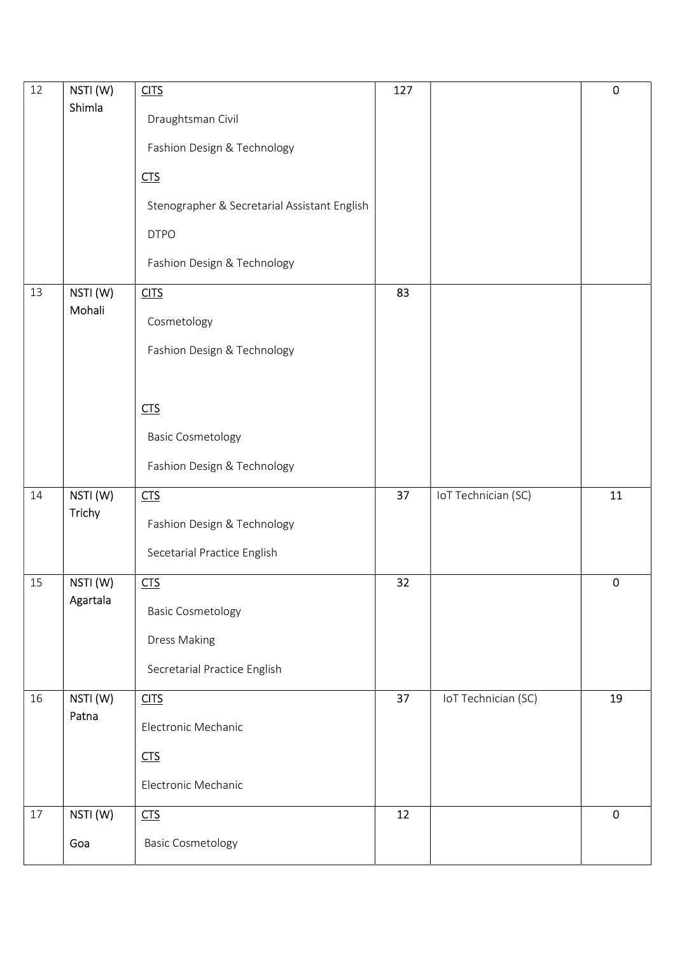| 12 | NSTI(W)<br>Shimla | CITS                                             | 127 |                     | $\mathbf 0$ |
|----|-------------------|--------------------------------------------------|-----|---------------------|-------------|
|    |                   | Draughtsman Civil<br>Fashion Design & Technology |     |                     |             |
|    |                   | CTS                                              |     |                     |             |
|    |                   | Stenographer & Secretarial Assistant English     |     |                     |             |
|    |                   | <b>DTPO</b>                                      |     |                     |             |
|    |                   | Fashion Design & Technology                      |     |                     |             |
| 13 | NSTI(W)<br>Mohali | CITS                                             | 83  |                     |             |
|    |                   | Cosmetology                                      |     |                     |             |
|    |                   | Fashion Design & Technology                      |     |                     |             |
|    |                   |                                                  |     |                     |             |
|    |                   | CTS                                              |     |                     |             |
|    |                   | <b>Basic Cosmetology</b>                         |     |                     |             |
|    |                   | Fashion Design & Technology                      |     |                     |             |
| 14 | NSTI(W)<br>Trichy | CTS                                              | 37  | IoT Technician (SC) | 11          |
|    |                   | Fashion Design & Technology                      |     |                     |             |
|    |                   | Secetarial Practice English                      |     |                     |             |
| 15 | NSTI (W)          | CTS                                              | 32  |                     | $\pmb{0}$   |
|    | Agartala          | <b>Basic Cosmetology</b>                         |     |                     |             |
|    |                   | Dress Making                                     |     |                     |             |
|    |                   | Secretarial Practice English                     |     |                     |             |
| 16 | NSTI(W)<br>Patna  | CITS                                             | 37  | IoT Technician (SC) | 19          |
|    |                   | Electronic Mechanic                              |     |                     |             |
|    |                   | CTS                                              |     |                     |             |
|    |                   | Electronic Mechanic                              |     |                     |             |
| 17 | NSTI(W)           | CTS                                              | 12  |                     | $\mathbf 0$ |
|    | Goa               | <b>Basic Cosmetology</b>                         |     |                     |             |